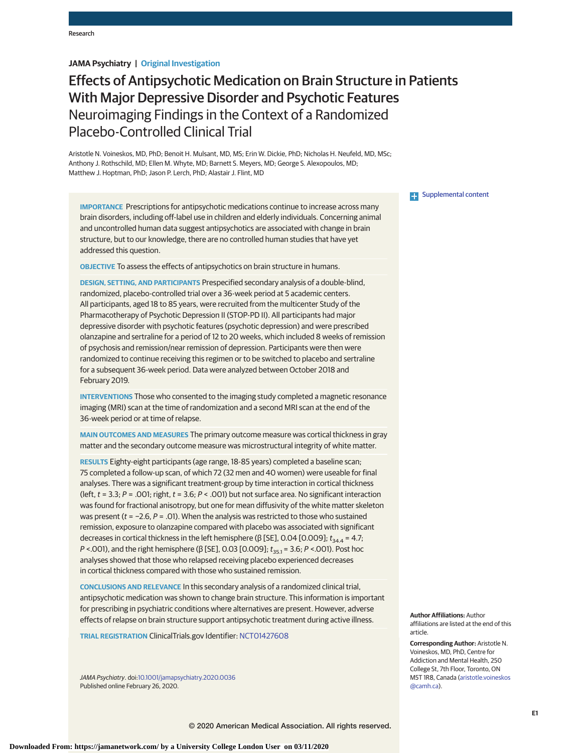# **JAMA Psychiatry | Original Investigation**

# Effects of Antipsychotic Medication on Brain Structure in Patients With Major Depressive Disorder and Psychotic Features Neuroimaging Findings in the Context of a Randomized Placebo-Controlled Clinical Trial

Aristotle N. Voineskos, MD, PhD; Benoit H. Mulsant, MD, MS; Erin W. Dickie, PhD; Nicholas H. Neufeld, MD, MSc; Anthony J. Rothschild, MD; Ellen M. Whyte, MD; Barnett S. Meyers, MD; George S. Alexopoulos, MD; Matthew J. Hoptman, PhD; Jason P. Lerch, PhD; Alastair J. Flint, MD

**IMPORTANCE** Prescriptions for antipsychotic medications continue to increase across many brain disorders, including off-label use in children and elderly individuals. Concerning animal and uncontrolled human data suggest antipsychotics are associated with change in brain structure, but to our knowledge, there are no controlled human studies that have yet addressed this question.

**OBJECTIVE** To assess the effects of antipsychotics on brain structure in humans.

**DESIGN, SETTING, AND PARTICIPANTS** Prespecified secondary analysis of a double-blind, randomized, placebo-controlled trial over a 36-week period at 5 academic centers. All participants, aged 18 to 85 years, were recruited from the multicenter Study of the Pharmacotherapy of Psychotic Depression II (STOP-PD II). All participants had major depressive disorder with psychotic features (psychotic depression) and were prescribed olanzapine and sertraline for a period of 12 to 20 weeks, which included 8 weeks of remission of psychosis and remission/near remission of depression. Participants were then were randomized to continue receiving this regimen or to be switched to placebo and sertraline for a subsequent 36-week period. Data were analyzed between October 2018 and February 2019.

**INTERVENTIONS** Those who consented to the imaging study completed a magnetic resonance imaging (MRI) scan at the time of randomization and a second MRI scan at the end of the 36-week period or at time of relapse.

**MAIN OUTCOMES AND MEASURES** The primary outcome measure was cortical thickness in gray matter and the secondary outcome measure was microstructural integrity of white matter.

**RESULTS** Eighty-eight participants (age range, 18-85 years) completed a baseline scan; 75 completed a follow-up scan, of which 72 (32 men and 40 women) were useable for final analyses. There was a significant treatment-group by time interaction in cortical thickness (left,  $t = 3.3$ ;  $P = .001$ ; right,  $t = 3.6$ ;  $P < .001$ ) but not surface area. No significant interaction was found for fractional anisotropy, but one for mean diffusivity of the white matter skeleton was present ( $t = -2.6$ ,  $P = .01$ ). When the analysis was restricted to those who sustained remission, exposure to olanzapine compared with placebo was associated with significant decreases in cortical thickness in the left hemisphere (β [SE], 0.04 [0.009];  $t_{34.4}$  = 4.7; P <.001), and the right hemisphere (β [SE], 0.03 [0.009];  $t_{35.1}$  = 3.6; P <.001). Post hoc analyses showed that those who relapsed receiving placebo experienced decreases in cortical thickness compared with those who sustained remission.

**CONCLUSIONS AND RELEVANCE** In this secondary analysis of a randomized clinical trial, antipsychotic medication was shown to change brain structure. This information is important for prescribing in psychiatric conditions where alternatives are present. However, adverse effects of relapse on brain structure support antipsychotic treatment during active illness.

**TRIAL REGISTRATION** ClinicalTrials.gov Identifier: [NCT01427608](https://clinicaltrials.gov/ct2/show/NCT01427608)

JAMA Psychiatry. doi[:10.1001/jamapsychiatry.2020.0036](https://jamanetwork.com/journals/jama/fullarticle/10.1001/jamapsychiatry.2020.0036?utm_campaign=articlePDF%26utm_medium=articlePDFlink%26utm_source=articlePDF%26utm_content=jamapsychiatry.2020.0036) Published online February 26, 2020.

**Examplemental content** 

**Author Affiliations:** Author affiliations are listed at the end of this article.

**Corresponding Author:** Aristotle N. Voineskos, MD, PhD, Centre for Addiction and Mental Health, 250 College St, 7th Floor, Toronto, ON M5T 1R8, Canada [\(aristotle.voineskos](mailto:aristotle.voineskos@camh.ca) [@camh.ca\)](mailto:aristotle.voineskos@camh.ca).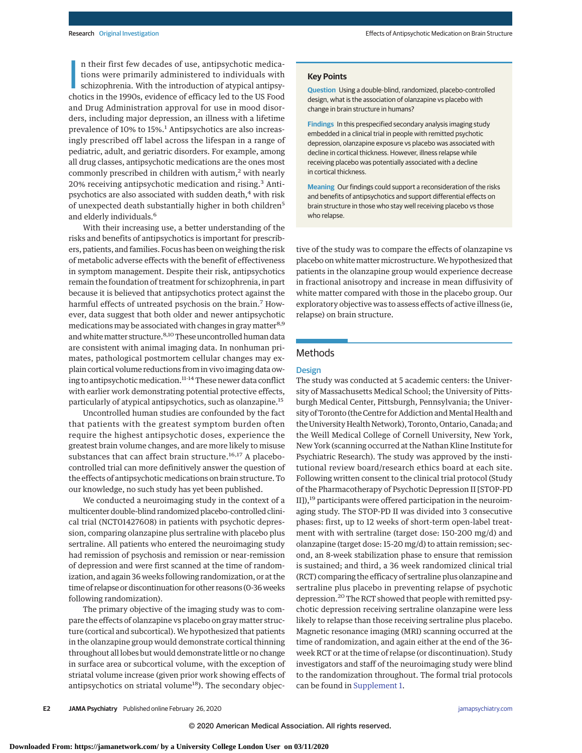n their first few decades of use, antipsychotic medications were primarily administered to individuals with schizophrenia. With the introduction of atypical antipsychotics in the 1990s, evidence of efficacy led to the US F n their first few decades of use, antipsychotic medications were primarily administered to individuals with schizophrenia. With the introduction of atypical antipsyand Drug Administration approval for use in mood disorders, including major depression, an illness with a lifetime prevalence of 10% to 15%.<sup>1</sup> Antipsychotics are also increasingly prescribed off label across the lifespan in a range of pediatric, adult, and geriatric disorders. For example, among all drug classes, antipsychotic medications are the ones most commonly prescribed in children with autism, $2$  with nearly 20% receiving antipsychotic medication and rising.<sup>3</sup> Antipsychotics are also associated with sudden death, $4$  with risk of unexpected death substantially higher in both children<sup>5</sup> and elderly individuals.6

With their increasing use, a better understanding of the risks and benefits of antipsychotics is important for prescribers, patients, and families. Focus has been on weighing the risk of metabolic adverse effects with the benefit of effectiveness in symptom management. Despite their risk, antipsychotics remain the foundation of treatment for schizophrenia, in part because it is believed that antipsychotics protect against the harmful effects of untreated psychosis on the brain.<sup>7</sup> However, data suggest that both older and newer antipsychotic medications may be associated with changes in gray matter<sup>8,9</sup> and white matter structure.<sup>8,10</sup> These uncontrolled human data are consistent with animal imaging data. In nonhuman primates, pathological postmortem cellular changes may explain cortical volume reductions from in vivo imaging data owing to antipsychotic medication.<sup>11-14</sup> These newer data conflict with earlier work demonstrating potential protective effects, particularly of atypical antipsychotics, such as olanzapine.<sup>15</sup>

Uncontrolled human studies are confounded by the fact that patients with the greatest symptom burden often require the highest antipsychotic doses, experience the greatest brain volume changes, and are more likely to misuse substances that can affect brain structure.<sup>16,17</sup> A placebocontrolled trial can more definitively answer the question of the effects of antipsychotic medications on brain structure. To our knowledge, no such study has yet been published.

We conducted a neuroimaging study in the context of a multicenter double-blind randomized placebo-controlled clinical trial (NCT01427608) in patients with psychotic depression, comparing olanzapine plus sertraline with placebo plus sertraline. All patients who entered the neuroimaging study had remission of psychosis and remission or near-remission of depression and were first scanned at the time of randomization, and again 36 weeks following randomization, or at the time of relapse or discontinuation for other reasons (0-36 weeks following randomization).

The primary objective of the imaging study was to compare the effects of olanzapine vs placebo on gray matter structure (cortical and subcortical). We hypothesized that patients in the olanzapine group would demonstrate cortical thinning throughout all lobes but would demonstrate little or no change in surface area or subcortical volume, with the exception of striatal volume increase (given prior work showing effects of antipsychotics on striatal volume<sup>18</sup>). The secondary objec-

#### **Key Points**

**Question** Using a double-blind, randomized, placebo-controlled design, what is the association of olanzapine vs placebo with change in brain structure in humans?

**Findings** In this prespecified secondary analysis imaging study embedded in a clinical trial in people with remitted psychotic depression, olanzapine exposure vs placebo was associated with decline in cortical thickness. However, illness relapse while receiving placebo was potentially associated with a decline in cortical thickness.

**Meaning** Our findings could support a reconsideration of the risks and benefits of antipsychotics and support differential effects on brain structure in those who stay well receiving placebo vs those who relapse.

tive of the study was to compare the effects of olanzapine vs placebo on white matter microstructure. We hypothesized that patients in the olanzapine group would experience decrease in fractional anisotropy and increase in mean diffusivity of white matter compared with those in the placebo group. Our exploratory objective was to assess effects of active illness (ie, relapse) on brain structure.

# Methods

#### **Design**

The study was conducted at 5 academic centers: the University of Massachusetts Medical School; the University of Pittsburgh Medical Center, Pittsburgh, Pennsylvania; the University of Toronto (the Centre for Addiction and Mental Health and the University Health Network), Toronto, Ontario, Canada; and the Weill Medical College of Cornell University, New York, New York (scanning occurred at the Nathan Kline Institute for Psychiatric Research). The study was approved by the institutional review board/research ethics board at each site. Following written consent to the clinical trial protocol (Study of the Pharmacotherapy of Psychotic Depression II [STOP-PD II]),<sup>19</sup> participants were offered participation in the neuroimaging study. The STOP-PD II was divided into 3 consecutive phases: first, up to 12 weeks of short-term open-label treatment with with sertraline (target dose: 150-200 mg/d) and olanzapine (target dose: 15-20 mg/d) to attain remission; second, an 8-week stabilization phase to ensure that remission is sustained; and third, a 36 week randomized clinical trial (RCT) comparing the efficacy of sertraline plus olanzapine and sertraline plus placebo in preventing relapse of psychotic depression.<sup>20</sup> The RCT showed that people with remitted psychotic depression receiving sertraline olanzapine were less likely to relapse than those receiving sertraline plus placebo. Magnetic resonance imaging (MRI) scanning occurred at the time of randomization, and again either at the end of the 36 week RCT or at the time of relapse (or discontinuation). Study investigators and staff of the neuroimaging study were blind to the randomization throughout. The formal trial protocols can be found in [Supplement 1.](https://jamanetwork.com/journals/jama/fullarticle/10.1001/jamapsychiatry.2020.0036?utm_campaign=articlePDF%26utm_medium=articlePDFlink%26utm_source=articlePDF%26utm_content=jamapsychiatry.2020.0036)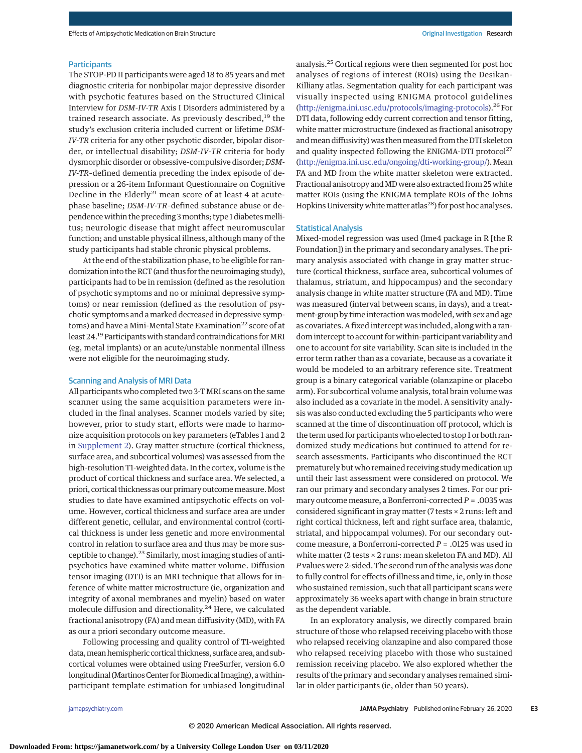#### **Participants**

The STOP-PD II participants were aged 18 to 85 years and met diagnostic criteria for nonbipolar major depressive disorder with psychotic features based on the Structured Clinical Interview for *DSM-IV-TR* Axis I Disorders administered by a trained research associate. As previously described,<sup>19</sup> the study's exclusion criteria included current or lifetime *DSM-IV-TR* criteria for any other psychotic disorder, bipolar disorder, or intellectual disability; *DSM-IV-TR* criteria for body dysmorphic disorder or obsessive-compulsive disorder; *DSM-IV-TR*–defined dementia preceding the index episode of depression or a 26-item Informant Questionnaire on Cognitive Decline in the Elderly<sup>21</sup> mean score of at least 4 at acutephase baseline; *DSM-IV-TR*–defined substance abuse or dependence within the preceding 3 months; type 1 diabetes mellitus; neurologic disease that might affect neuromuscular function; and unstable physical illness, although many of the study participants had stable chronic physical problems.

At the end of the stabilization phase, to be eligible for randomization into the RCT (and thus for the neuroimaging study), participants had to be in remission (defined as the resolution of psychotic symptoms and no or minimal depressive symptoms) or near remission (defined as the resolution of psychotic symptoms and amarked decreased in depressive symptoms) and have a Mini-Mental State Examination<sup>22</sup> score of at least 24.<sup>19</sup> Participants with standard contraindications for MRI (eg, metal implants) or an acute/unstable nonmental illness were not eligible for the neuroimaging study.

### Scanning and Analysis of MRI Data

All participants who completed two 3-TMRI scans on the same scanner using the same acquisition parameters were included in the final analyses. Scanner models varied by site; however, prior to study start, efforts were made to harmonize acquisition protocols on key parameters (eTables 1 and 2 in [Supplement 2\)](https://jamanetwork.com/journals/jama/fullarticle/10.1001/jamapsychiatry.2020.0036?utm_campaign=articlePDF%26utm_medium=articlePDFlink%26utm_source=articlePDF%26utm_content=jamapsychiatry.2020.0036). Gray matter structure (cortical thickness, surface area, and subcortical volumes) was assessed from the high-resolution T1-weighted data. In the cortex, volume is the product of cortical thickness and surface area. We selected, a priori, cortical thickness as our primary outcome measure. Most studies to date have examined antipsychotic effects on volume. However, cortical thickness and surface area are under different genetic, cellular, and environmental control (cortical thickness is under less genetic and more environmental control in relation to surface area and thus may be more susceptible to change).23 Similarly, most imaging studies of antipsychotics have examined white matter volume. Diffusion tensor imaging (DTI) is an MRI technique that allows for inference of white matter microstructure (ie, organization and integrity of axonal membranes and myelin) based on water molecule diffusion and directionality.<sup>24</sup> Here, we calculated fractional anisotropy (FA) and mean diffusivity (MD), with FA as our a priori secondary outcome measure.

Following processing and quality control of T1-weighted data, mean hemispheric cortical thickness, surface area, and subcortical volumes were obtained using FreeSurfer, version 6.0 longitudinal (Martinos Center for Biomedical Imaging), a withinparticipant template estimation for unbiased longitudinal analysis.25 Cortical regions were then segmented for post hoc analyses of regions of interest (ROIs) using the Desikan-Killiany atlas. Segmentation quality for each participant was visually inspected using ENIGMA protocol guidelines [\(http://enigma.ini.usc.edu/protocols/imaging-protocols\)](http://enigma.ini.usc.edu/protocols/imaging-protocols).<sup>26</sup> For DTI data, following eddy current correction and tensor fitting, white matter microstructure (indexed as fractional anisotropy and mean diffusivity) was then measured from the DTI skeleton and quality inspected following the ENIGMA-DTI protocol<sup>27</sup> [\(http://enigma.ini.usc.edu/ongoing/dti-working-group/\)](http://enigma.ini.usc.edu/ongoing/dti-working-group/).Mean FA and MD from the white matter skeleton were extracted. Fractional anisotropy and MD were also extracted from 25 white matter ROIs (using the ENIGMA template ROIs of the Johns Hopkins University white matter atlas<sup>28</sup>) for post hoc analyses.

#### Statistical Analysis

Mixed-model regression was used (lme4 package in R [the R Foundation]) in the primary and secondary analyses. The primary analysis associated with change in gray matter structure (cortical thickness, surface area, subcortical volumes of thalamus, striatum, and hippocampus) and the secondary analysis change in white matter structure (FA and MD). Time was measured (interval between scans, in days), and a treatment-group by time interaction was modeled, with sex and age as covariates. A fixed intercept was included, along with a random intercept to account for within-participant variability and one to account for site variability. Scan site is included in the error term rather than as a covariate, because as a covariate it would be modeled to an arbitrary reference site. Treatment group is a binary categorical variable (olanzapine or placebo arm). For subcortical volume analysis, total brain volume was also included as a covariate in the model. A sensitivity analysis was also conducted excluding the 5 participants who were scanned at the time of discontinuation off protocol, which is the term used for participants who elected to stop 1 or both randomized study medications but continued to attend for research assessments. Participants who discontinued the RCT prematurely but who remained receiving study medication up until their last assessment were considered on protocol. We ran our primary and secondary analyses 2 times. For our primary outcomemeasure, a Bonferroni-corrected *P* = .0035 was considered significant in gray matter (7 tests × 2 runs: left and right cortical thickness, left and right surface area, thalamic, striatal, and hippocampal volumes). For our secondary outcome measure, a Bonferroni-corrected *P* = .0125 was used in white matter (2 tests × 2 runs: mean skeleton FA and MD). All *P*values were 2-sided. The second run of the analysis was done to fully control for effects of illness and time, ie, only in those who sustained remission, such that all participant scans were approximately 36 weeks apart with change in brain structure as the dependent variable.

In an exploratory analysis, we directly compared brain structure of those who relapsed receiving placebo with those who relapsed receiving olanzapine and also compared those who relapsed receiving placebo with those who sustained remission receiving placebo. We also explored whether the results of the primary and secondary analyses remained similar in older participants (ie, older than 50 years).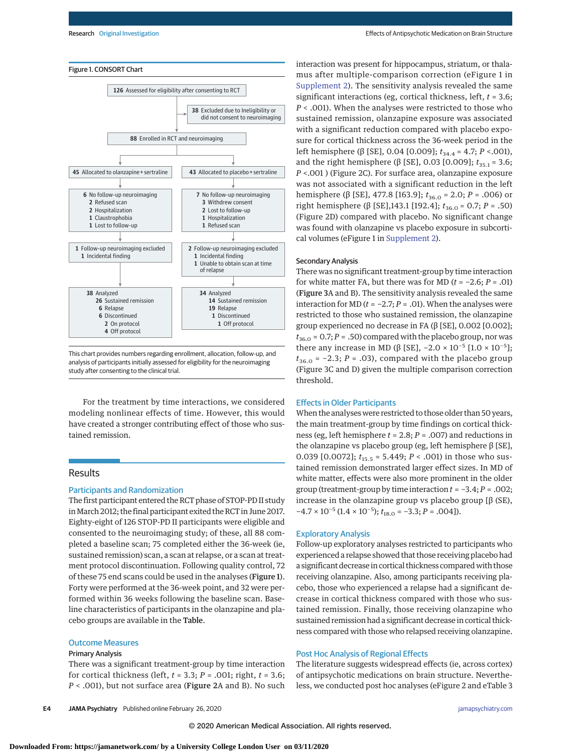

This chart provides numbers regarding enrollment, allocation, follow-up, and analysis of participants initially assessed for eligibility for the neuroimaging study after consenting to the clinical trial.

For the treatment by time interactions, we considered modeling nonlinear effects of time. However, this would have created a stronger contributing effect of those who sustained remission.

### Results

#### Participants and Randomization

The first participant entered the RCT phase of STOP-PD II study inMarch 2012; the final participant exited the RCT in June 2017. Eighty-eight of 126 STOP-PD II participants were eligible and consented to the neuroimaging study; of these, all 88 completed a baseline scan; 75 completed either the 36-week (ie, sustained remission) scan, a scan at relapse, or a scan at treatment protocol discontinuation. Following quality control, 72 of these 75 end scans could be used in the analyses (Figure 1). Forty were performed at the 36-week point, and 32 were performed within 36 weeks following the baseline scan. Baseline characteristics of participants in the olanzapine and placebo groups are available in the Table.

#### Outcome Measures

#### Primary Analysis

There was a significant treatment-group by time interaction for cortical thickness (left, *t* = 3.3; *P* = .001; right, *t* = 3.6; *P* < .001), but not surface area (Figure 2A and B). No such interaction was present for hippocampus, striatum, or thalamus after multiple-comparison correction (eFigure 1 in [Supplement 2\)](https://jamanetwork.com/journals/jama/fullarticle/10.1001/jamapsychiatry.2020.0036?utm_campaign=articlePDF%26utm_medium=articlePDFlink%26utm_source=articlePDF%26utm_content=jamapsychiatry.2020.0036). The sensitivity analysis revealed the same significant interactions (eg, cortical thickness, left, *t* = 3.6; *P* < .001). When the analyses were restricted to those who sustained remission, olanzapine exposure was associated with a significant reduction compared with placebo exposure for cortical thickness across the 36-week period in the left hemisphere (β [SE], 0.04 [0.009];  $t_{34.4}$  = 4.7; *P* <.001), and the right hemisphere (β [SE], 0.03 [0.009];  $t_{35.1}$  = 3.6; *P* <.001 ) (Figure 2C). For surface area, olanzapine exposure was not associated with a significant reduction in the left hemisphere (β [SE], 477.8 [163.9]; *t*<sub>36.0</sub> = 2.0; *P* = .006) or right hemisphere (β [SE],143.1 [192.4]; *t*<sub>36.0</sub> = 0.7; *P* = .50) (Figure 2D) compared with placebo. No significant change was found with olanzapine vs placebo exposure in subcortical volumes (eFigure 1 in [Supplement 2\)](https://jamanetwork.com/journals/jama/fullarticle/10.1001/jamapsychiatry.2020.0036?utm_campaign=articlePDF%26utm_medium=articlePDFlink%26utm_source=articlePDF%26utm_content=jamapsychiatry.2020.0036).

#### Secondary Analysis

There was no significant treatment-group by time interaction for white matter FA, but there was for MD ( $t = -2.6$ ;  $P = .01$ ) (Figure 3A and B). The sensitivity analysis revealed the same interaction for MD ( $t = -2.7; P = .01$ ). When the analyses were restricted to those who sustained remission, the olanzapine group experienced no decrease in FA (β [SE], 0.002 [0.002];  $t_{36.0}$  = 0.7; *P* = .50) compared with the placebo group, nor was there any increase in MD (β [SE],  $-2.0 \times 10^{-5}$  [1.0  $\times 10^{-5}$ ];  $t_{36.0}$  = −2.3; *P* = .03), compared with the placebo group (Figure 3C and D) given the multiple comparison correction threshold.

## Effects in Older Participants

When the analyses were restricted to those older than 50 years, the main treatment-group by time findings on cortical thickness (eg, left hemisphere *t* = 2.8; *P* = .007) and reductions in the olanzapine vs placebo group (eg, left hemisphere β [SE], 0.039 [0.0072];  $t_{15.5}$  = 5.449; *P* < .001) in those who sustained remission demonstrated larger effect sizes. In MD of white matter, effects were also more prominent in the older group (treatment-group by time interaction *t* = −3.4; *P* = .002; increase in the olanzapine group vs placebo group [β (SE),  $-4.7 \times 10^{-5}$  (1.4  $\times 10^{-5}$ );  $t_{18.0} = -3.3$ ; *P* = .004]).

#### Exploratory Analysis

Follow-up exploratory analyses restricted to participants who experienced a relapse showed that those receiving placebo had a significant decrease in cortical thickness comparedwith those receiving olanzapine. Also, among participants receiving placebo, those who experienced a relapse had a significant decrease in cortical thickness compared with those who sustained remission. Finally, those receiving olanzapine who sustained remission had a significant decrease in cortical thickness compared with those who relapsed receiving olanzapine.

# Post Hoc Analysis of Regional Effects

The literature suggests widespread effects (ie, across cortex) of antipsychotic medications on brain structure. Nevertheless, we conducted post hoc analyses (eFigure 2 and eTable 3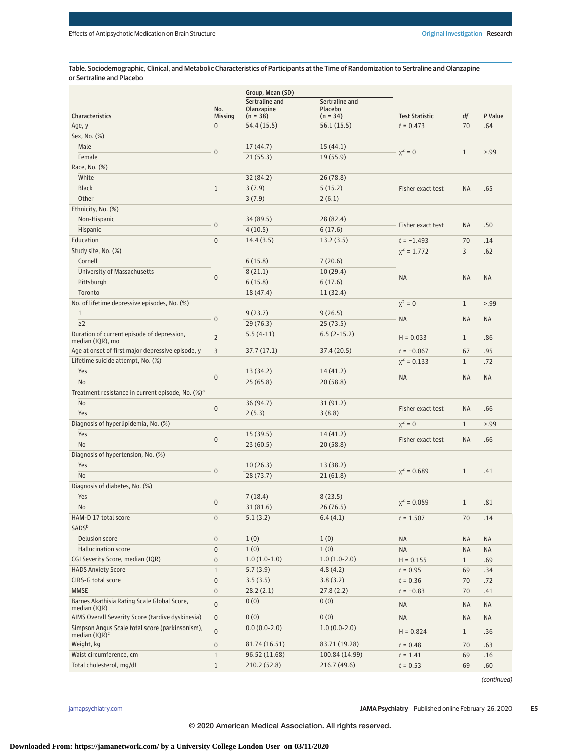Table. Sociodemographic, Clinical, and Metabolic Characteristics of Participants at the Time of Randomization to Sertraline and Olanzapine or Sertraline and Placebo

|                                                                  |                       | Group, Mean (SD)         |                       |                       |                    |            |
|------------------------------------------------------------------|-----------------------|--------------------------|-----------------------|-----------------------|--------------------|------------|
|                                                                  |                       | Sertraline and           | Sertraline and        |                       |                    |            |
| <b>Characteristics</b>                                           | No.<br><b>Missing</b> | Olanzapine<br>$(n = 38)$ | Placebo<br>$(n = 34)$ | <b>Test Statistic</b> | df                 | P Value    |
| Age, y                                                           | $\Omega$              | 54.4 (15.5)              | 56.1 (15.5)           | $t = 0.473$           | 70                 | .64        |
| Sex, No. (%)                                                     |                       |                          |                       |                       |                    |            |
| Male                                                             |                       | 17(44.7)                 | 15(44.1)              |                       |                    |            |
| Female                                                           | $\boldsymbol{0}$      | 21(55.3)                 | 19(55.9)              | $x^2 = 0$             | $\mathbf{1}$       | > .99      |
| Race, No. (%)                                                    |                       |                          |                       |                       |                    |            |
| White                                                            | $\mathbf{1}$          | 32 (84.2)                | 26(78.8)              |                       | <b>NA</b>          | .65        |
| <b>Black</b>                                                     |                       | 3(7.9)                   | 5(15.2)               | Fisher exact test     |                    |            |
| Other                                                            |                       | 3(7.9)                   | 2(6.1)                |                       |                    |            |
| Ethnicity, No. (%)                                               |                       |                          |                       |                       |                    |            |
| Non-Hispanic                                                     |                       | 34 (89.5)                | 28 (82.4)             |                       | <b>NA</b>          | .50        |
| Hispanic                                                         | 0                     | 4(10.5)                  | 6(17.6)               | Fisher exact test     |                    |            |
| Education                                                        | $\overline{0}$        | 14.4(3.5)                | 13.2(3.5)             | $t = -1.493$          | 70                 | .14        |
| Study site, No. (%)                                              |                       |                          |                       | $x^2 = 1.772$         | 3                  | .62        |
| Cornell                                                          |                       | 6(15.8)                  | 7(20.6)               |                       |                    |            |
| University of Massachusetts                                      |                       | 8(21.1)                  | 10(29.4)              |                       | <b>NA</b>          | <b>NA</b>  |
|                                                                  | $\overline{0}$        |                          |                       | <b>NA</b>             |                    |            |
| Pittsburgh<br>Toronto                                            |                       | 6(15.8)                  | 6(17.6)<br>11(32.4)   |                       |                    |            |
|                                                                  |                       | 18 (47.4)                |                       |                       |                    |            |
| No. of lifetime depressive episodes, No. (%)                     |                       |                          |                       | $x^2 = 0$             | $\mathbf{1}$       | > 0.99     |
| $\mathbf{1}$                                                     | $\boldsymbol{0}$      | 9(23.7)                  | 9(26.5)               | <b>NA</b>             | <b>NA</b>          | <b>NA</b>  |
| $\geq$ 2                                                         |                       | 29(76.3)                 | 25(73.5)              |                       |                    |            |
| Duration of current episode of depression,<br>median (IQR), mo   | $\overline{2}$        | $5.5(4-11)$              | $6.5(2-15.2)$         | $H = 0.033$           | $\mathbf{1}$       | .86        |
| Age at onset of first major depressive episode, y                | 3                     | 37.7(17.1)               | 37.4 (20.5)           | $t = -0.067$          | 67                 | .95        |
| Lifetime suicide attempt, No. (%)                                |                       |                          |                       | $x^2 = 0.133$         | $\mathbf{1}$       | .72        |
| Yes                                                              | $\boldsymbol{0}$      | 13 (34.2)                | 14 (41.2)             |                       | <b>NA</b>          |            |
| <b>No</b>                                                        |                       | 25(65.8)                 | 20 (58.8)             | <b>NA</b>             |                    | NA         |
| Treatment resistance in current episode, No. (%) <sup>a</sup>    |                       |                          |                       |                       |                    |            |
| No                                                               |                       | 36 (94.7)                | 31 (91.2)             |                       | <b>NA</b>          | .66        |
| Yes                                                              | $\mathbf{0}$          | 2(5.3)                   | 3(8.8)                | Fisher exact test     |                    |            |
| Diagnosis of hyperlipidemia, No. (%)                             |                       |                          |                       | $\chi^2 = 0$          | $\mathbf{1}$       | > 0.99     |
| Yes                                                              | 0                     | 15(39.5)                 | 14 (41.2)             |                       |                    | .66        |
| <b>No</b>                                                        |                       | 23(60.5)                 | 20(58.8)              | Fisher exact test     | <b>NA</b>          |            |
| Diagnosis of hypertension, No. (%)                               |                       |                          |                       |                       |                    |            |
| Yes                                                              | 0                     | 10(26.3)                 | 13 (38.2)             |                       |                    | .41        |
| <b>No</b>                                                        |                       | 28(73.7)                 | 21 (61.8)             | $x^2 = 0.689$         | $\mathbf{1}$       |            |
| Diagnosis of diabetes, No. (%)                                   |                       |                          |                       |                       |                    |            |
| Yes                                                              |                       | 7(18.4)                  | 8(23.5)               |                       | $\mathbf{1}$<br>70 | .81<br>.14 |
| No                                                               | 0                     | 31(81.6)                 | 26(76.5)              | $x^2 = 0.059$         |                    |            |
| HAM-D 17 total score                                             | $\mathbf 0$           | 5.1(3.2)                 | 6.4(4.1)              | $t = 1.507$           |                    |            |
| SADSb                                                            |                       |                          |                       |                       |                    |            |
| Delusion score                                                   | 0                     | 1(0)                     | 1(0)                  | ΝA                    | <b>NA</b>          | NA         |
| Hallucination score                                              | 0                     | 1(0)                     | 1(0)                  | NA                    | <b>NA</b>          | NA         |
| CGI Severity Score, median (IQR)                                 | $\boldsymbol{0}$      | $1.0(1.0-1.0)$           | $1.0(1.0-2.0)$        | $H = 0.155$           | $\mathbf{1}$       | .69        |
| <b>HADS Anxiety Score</b>                                        | $\mathbf{1}$          | 5.7(3.9)                 | 4.8 (4.2)             | $t = 0.95$            | 69                 | .34        |
| CIRS-G total score                                               | $\mathbf 0$           | 3.5(3.5)                 | 3.8(3.2)              | $t = 0.36$            | 70                 | .72        |
| <b>MMSE</b>                                                      | 0                     | 28.2(2.1)                | 27.8(2.2)             | $t = -0.83$           | 70                 | .41        |
| Barnes Akathisia Rating Scale Global Score,                      | $\overline{0}$        | 0(0)                     | 0(0)                  | ΝA                    | <b>NA</b>          | ΝA         |
| median (IQR)<br>AIMS Overall Severity Score (tardive dyskinesia) | 0                     | 0(0)                     | 0(0)                  | NA                    | <b>NA</b>          | NA         |
| Simpson Angus Scale total score (parkinsonism),                  | $\overline{0}$        | $0.0(0.0-2.0)$           | $1.0(0.0-2.0)$        | $H = 0.824$           | $\mathbf{1}$       | .36        |
| median $(IQR)^c$<br>Weight, kg                                   | $\boldsymbol{0}$      | 81.74 (16.51)            | 83.71 (19.28)         | $t = 0.48$            | 70                 | .63        |
| Waist circumference, cm                                          | $\mathbf{1}$          | 96.52 (11.68)            | 100.84 (14.99)        | $t = 1.41$            | 69                 | .16        |
| Total cholesterol, mg/dL                                         | $\mathbf{1}$          | 210.2(52.8)              | 216.7 (49.6)          | $t = 0.53$            | 69                 | .60        |
|                                                                  |                       |                          |                       |                       |                    |            |

(continued)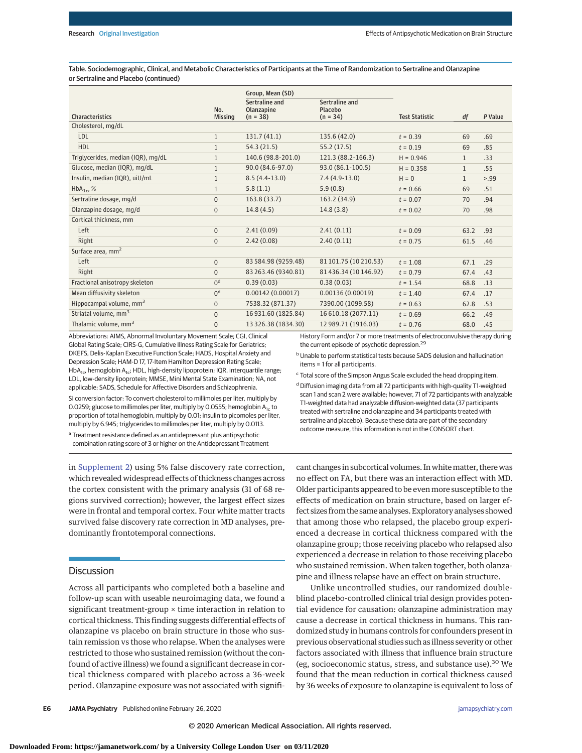#### Table. Sociodemographic, Clinical, and Metabolic Characteristics of Participants at the Time of Randomization to Sertraline and Olanzapine or Sertraline and Placebo (continued)

|                                     |                | Group, Mean (SD)             |                           |                       |              |         |
|-------------------------------------|----------------|------------------------------|---------------------------|-----------------------|--------------|---------|
|                                     | No.            | Sertraline and<br>Olanzapine | Sertraline and<br>Placebo |                       |              |         |
| <b>Characteristics</b>              | <b>Missing</b> | $(n = 38)$                   | $(n = 34)$                | <b>Test Statistic</b> | df           | P Value |
| Cholesterol, mg/dL                  |                |                              |                           |                       |              |         |
| <b>LDL</b>                          | $\mathbf{1}$   | 131.7(41.1)                  | 135.6 (42.0)              | $t = 0.39$            | 69           | .69     |
| <b>HDL</b>                          | $\mathbf{1}$   | 54.3(21.5)                   | 55.2(17.5)                | $t = 0.19$            | 69           | .85     |
| Triglycerides, median (IQR), mg/dL  | $\mathbf{1}$   | 140.6 (98.8-201.0)           | 121.3 (88.2-166.3)        | $H = 0.946$           | $\mathbf{1}$ | .33     |
| Glucose, median (IQR), mg/dL        | $\mathbf{1}$   | 90.0 (84.6-97.0)             | 93.0 (86.1-100.5)         | $H = 0.358$           | $\mathbf{1}$ | .55     |
| Insulin, median (IQR), uiU/mL       | $\mathbf{1}$   | $8.5(4.4-13.0)$              | $7.4(4.9-13.0)$           | $H = 0$               | $\mathbf{1}$ | > 0.99  |
| $HbA_{1c}$ , %                      | $\mathbf{1}$   | 5.8(1.1)                     | 5.9(0.8)                  | $t = 0.66$            | 69           | .51     |
| Sertraline dosage, mg/d             | $\Omega$       | 163.8 (33.7)                 | 163.2 (34.9)              | $t = 0.07$            | 70           | .94     |
| Olanzapine dosage, mg/d             | $\Omega$       | 14.8(4.5)                    | 14.8(3.8)                 | $t = 0.02$            | 70           | .98     |
| Cortical thickness, mm              |                |                              |                           |                       |              |         |
| Left                                | $\Omega$       | 2.41(0.09)                   | 2.41(0.11)                | $t = 0.09$            | 63.2         | .93     |
| Right                               | $\Omega$       | 2.42(0.08)                   | 2.40(0.11)                | $t = 0.75$            | 61.5         | .46     |
| Surface area, mm <sup>2</sup>       |                |                              |                           |                       |              |         |
| Left                                | $\Omega$       | 83 584.98 (9259.48)          | 81 101.75 (10 210.53)     | $t = 1.08$            | 67.1         | .29     |
| Right                               | $\Omega$       | 83 263.46 (9340.81)          | 81 436.34 (10 146.92)     | $t = 0.79$            | 67.4         | .43     |
| Fractional anisotropy skeleton      | 0 <sup>d</sup> | 0.39(0.03)                   | 0.38(0.03)                | $t = 1.54$            | 68.8         | .13     |
| Mean diffusivity skeleton           | 0 <sup>d</sup> | 0.00142(0.00017)             | 0.00136(0.00019)          | $t = 1.40$            | 67.4         | .17     |
| Hippocampal volume, mm <sup>3</sup> | $\mathbf{0}$   | 7538.32 (871.37)             | 7390.00 (1099.58)         | $t = 0.63$            | 62.8         | .53     |
| Striatal volume, mm <sup>3</sup>    | $\mathbf{0}$   | 16 931.60 (1825.84)          | 16 610.18 (2077.11)       | $t = 0.69$            | 66.2         | .49     |
| Thalamic volume, mm <sup>3</sup>    | $\Omega$       | 13 326.38 (1834.30)          | 12 989.71 (1916.03)       | $t = 0.76$            | 68.0         | .45     |

Abbreviations: AIMS, Abnormal Involuntary Movement Scale; CGI, Clinical Global Rating Scale; CIRS-G, Cumulative Illness Rating Scale for Geriatrics; DKEFS, Delis-Kaplan Executive Function Scale; HADS, Hospital Anxiety and Depression Scale; HAM-D 17, 17-Item Hamilton Depression Rating Scale; HbA<sub>1c</sub>, hemoglobin A<sub>1c</sub>; HDL, high-density lipoprotein; IQR, interquartile range; LDL, low-density lipoprotein; MMSE, Mini Mental State Examination; NA, not applicable; SADS, Schedule for Affective Disorders and Schizophrenia.

SI conversion factor: To convert cholesterol to millimoles per liter, multiply by 0.0259; glucose to millimoles per liter, multiply by 0.0555; hemoglobin  $A_{1c}$  to proportion of total hemoglobin, multiply by 0.01; insulin to picomoles per liter, multiply by 6.945; triglycerides to millimoles per liter, multiply by 0.0113.

<sup>a</sup> Treatment resistance defined as an antidepressant plus antipsychotic combination rating score of 3 or higher on the Antidepressant Treatment

in [Supplement 2\)](https://jamanetwork.com/journals/jama/fullarticle/10.1001/jamapsychiatry.2020.0036?utm_campaign=articlePDF%26utm_medium=articlePDFlink%26utm_source=articlePDF%26utm_content=jamapsychiatry.2020.0036) using 5% false discovery rate correction, which revealed widespread effects of thickness changes across the cortex consistent with the primary analysis (31 of 68 regions survived correction); however, the largest effect sizes were in frontal and temporal cortex. Four white matter tracts survived false discovery rate correction in MD analyses, predominantly frontotemporal connections.

# **Discussion**

Across all participants who completed both a baseline and follow-up scan with useable neuroimaging data, we found a significant treatment-group  $\times$  time interaction in relation to cortical thickness. This finding suggests differential effects of olanzapine vs placebo on brain structure in those who sustain remission vs those who relapse. When the analyses were restricted to those who sustained remission (without the confound of active illness) we found a significant decrease in cortical thickness compared with placebo across a 36-week period. Olanzapine exposure was not associated with signifiHistory Form and/or 7 or more treatments of electroconvulsive therapy during the current episode of psychotic depression.29

bUnable to perform statistical tests because SADS delusion and hallucination items = 1 for all participants.

<sup>c</sup> Total score of the Simpson Angus Scale excluded the head dropping item.

<sup>d</sup> Diffusion imaging data from all 72 participants with high-quality T1-weighted scan 1 and scan 2 were available; however, 71 of 72 participants with analyzable T1-weighted data had analyzable diffusion-weighted data (37 participants treated with sertraline and olanzapine and 34 participants treated with sertraline and placebo). Because these data are part of the secondary outcome measure, this information is not in the CONSORT chart.

cant changes in subcortical volumes. In white matter, there was no effect on FA, but there was an interaction effect with MD. Older participants appeared to be evenmore susceptible to the effects of medication on brain structure, based on larger effect sizes from the same analyses. Exploratory analyses showed that among those who relapsed, the placebo group experienced a decrease in cortical thickness compared with the olanzapine group; those receiving placebo who relapsed also experienced a decrease in relation to those receiving placebo who sustained remission. When taken together, both olanzapine and illness relapse have an effect on brain structure.

Unlike uncontrolled studies, our randomized doubleblind placebo-controlled clinical trial design provides potential evidence for causation: olanzapine administration may cause a decrease in cortical thickness in humans. This randomized study in humans controls for confounders present in previous observational studies such as illness severity or other factors associated with illness that influence brain structure (eg, socioeconomic status, stress, and substance use).<sup>30</sup> We found that the mean reduction in cortical thickness caused by 36 weeks of exposure to olanzapine is equivalent to loss of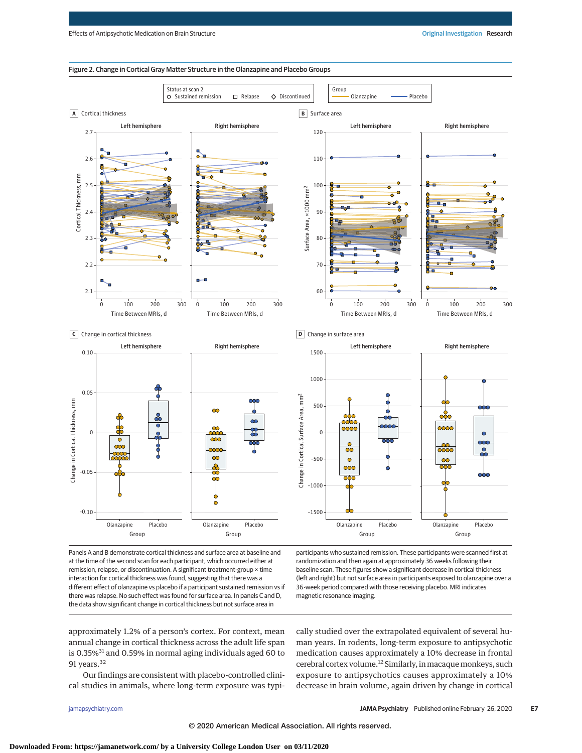

Panels A and B demonstrate cortical thickness and surface area at baseline and at the time of the second scan for each participant, which occurred either at remission, relapse, or discontinuation. A significant treatment-group × time interaction for cortical thickness was found, suggesting that there was a different effect of olanzapine vs placebo if a participant sustained remission vs if there was relapse. No such effect was found for surface area. In panels C and D, the data show significant change in cortical thickness but not surface area in

participants who sustained remission. These participants were scanned first at randomization and then again at approximately 36 weeks following their baseline scan. These figures show a significant decrease in cortical thickness (left and right) but not surface area in participants exposed to olanzapine over a 36-week period compared with those receiving placebo. MRI indicates magnetic resonance imaging.

approximately 1.2% of a person's cortex. For context, mean annual change in cortical thickness across the adult life span is 0.35%31 and 0.59% in normal aging individuals aged 60 to 91 years.<sup>32</sup>

Our findings are consistent with placebo-controlled clinical studies in animals, where long-term exposure was typically studied over the extrapolated equivalent of several human years. In rodents, long-term exposure to antipsychotic medication causes approximately a 10% decrease in frontal cerebral cortex volume.<sup>12</sup> Similarly, in macaque monkeys, such exposure to antipsychotics causes approximately a 10% decrease in brain volume, again driven by change in cortical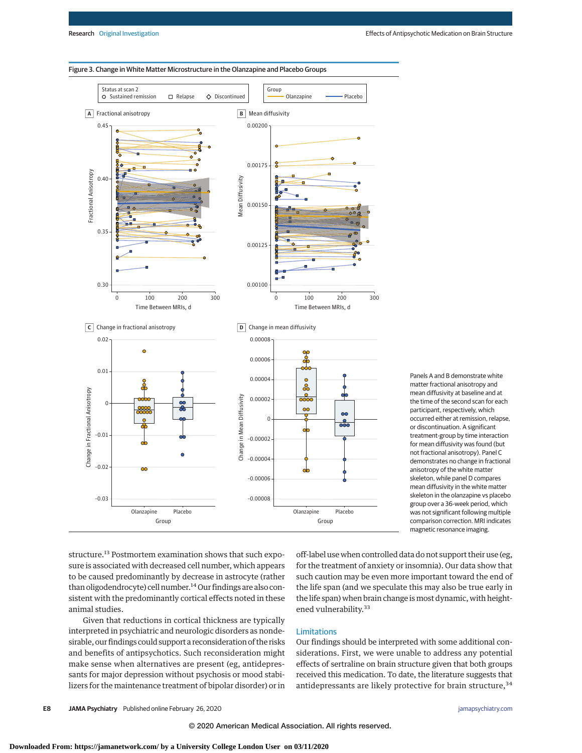

Panels A and B demonstrate white matter fractional anisotropy and mean diffusivity at baseline and at the time of the second scan for each participant, respectively, which occurred either at remission, relapse, or discontinuation. A significant treatment-group by time interaction for mean diffusivity was found (but not fractional anisotropy). Panel C demonstrates no change in fractional anisotropy of the white matter skeleton, while panel D compares mean diffusivity in the white matter skeleton in the olanzapine vs placebo group over a 36-week period, which was not significant following multiple comparison correction. MRI indicates magnetic resonance imaging.

structure.<sup>13</sup> Postmortem examination shows that such exposure is associated with decreased cell number, which appears to be caused predominantly by decrease in astrocyte (rather than oligodendrocyte) cell number.<sup>14</sup> Our findings are also consistent with the predominantly cortical effects noted in these animal studies.

Given that reductions in cortical thickness are typically interpreted in psychiatric and neurologic disorders as nondesirable, our findings could support a reconsideration of the risks and benefits of antipsychotics. Such reconsideration might make sense when alternatives are present (eg, antidepressants for major depression without psychosis or mood stabilizers for the maintenance treatment of bipolar disorder) or in off-label use when controlled data do not support their use (eg, for the treatment of anxiety or insomnia). Our data show that such caution may be even more important toward the end of the life span (and we speculate this may also be true early in the life span) when brain change is most dynamic, with heightened vulnerability.<sup>33</sup>

# Limitations

Our findings should be interpreted with some additional considerations. First, we were unable to address any potential effects of sertraline on brain structure given that both groups received this medication. To date, the literature suggests that antidepressants are likely protective for brain structure, 34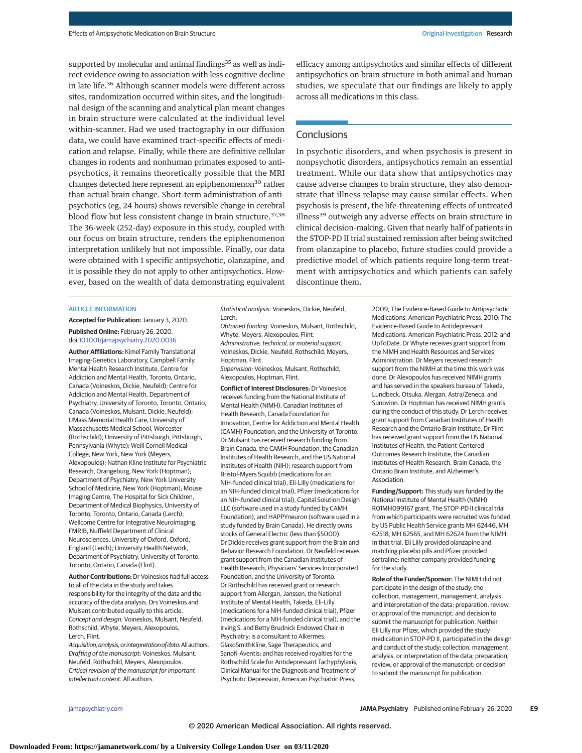supported by molecular and animal findings<sup>35</sup> as well as indirect evidence owing to association with less cognitive decline in late life.36 Although scanner models were different across sites, randomization occurred within sites, and the longitudinal design of the scanning and analytical plan meant changes in brain structure were calculated at the individual level within-scanner. Had we used tractography in our diffusion data, we could have examined tract-specific effects of medication and relapse. Finally, while there are definitive cellular changes in rodents and nonhuman primates exposed to antipsychotics, it remains theoretically possible that the MRI changes detected here represent an epiphenomenon<sup>30</sup> rather than actual brain change. Short-term administration of antipsychotics (eg, 24 hours) shows reversible change in cerebral blood flow but less consistent change in brain structure.<sup>37,38</sup> The 36-week (252-day) exposure in this study, coupled with our focus on brain structure, renders the epiphenomenon interpretation unlikely but not impossible. Finally, our data were obtained with 1 specific antipsychotic, olanzapine, and it is possible they do not apply to other antipsychotics. However, based on the wealth of data demonstrating equivalent

efficacy among antipsychotics and similar effects of different antipsychotics on brain structure in both animal and human studies, we speculate that our findings are likely to apply across all medications in this class.

# **Conclusions**

In psychotic disorders, and when psychosis is present in nonpsychotic disorders, antipsychotics remain an essential treatment. While our data show that antipsychotics may cause adverse changes to brain structure, they also demonstrate that illness relapse may cause similar effects. When psychosis is present, the life-threatening effects of untreated illness<sup>39</sup> outweigh any adverse effects on brain structure in clinical decision-making. Given that nearly half of patients in the STOP-PD II trial sustained remission after being switched from olanzapine to placebo, future studies could provide a predictive model of which patients require long-term treatment with antipsychotics and which patients can safely discontinue them.

#### ARTICLE INFORMATION

**Accepted for Publication:** January 3, 2020. **Published Online:** February 26, 2020. doi[:10.1001/jamapsychiatry.2020.0036](https://jamanetwork.com/journals/jama/fullarticle/10.1001/jamapsychiatry.2020.0036?utm_campaign=articlePDF%26utm_medium=articlePDFlink%26utm_source=articlePDF%26utm_content=jamapsychiatry.2020.0036)

**Author Affiliations:** Kimel Family Translational Imaging-Genetics Laboratory, Campbell Family Mental Health Research Institute, Centre for Addiction and Mental Health, Toronto, Ontario, Canada (Voineskos, Dickie, Neufeld); Centre for Addiction and Mental Health, Department of Psychiatry, University of Toronto, Toronto, Ontario, Canada (Voineskos, Mulsant, Dickie, Neufeld); UMass Memorial Health Care, University of Massachusetts Medical School, Worcester (Rothschild); University of Pittsburgh, Pittsburgh, Pennsylvania (Whyte); Weill Cornell Medical College, New York, New York (Meyers, Alexopoulos); Nathan Kline Institute for Psychiatric Research, Orangeburg, New York (Hoptman); Department of Psychiatry, New York University School of Medicine, New York (Hoptman); Mouse Imaging Centre, The Hospital for Sick Children, Department of Medical Biophysics, University of Toronto, Toronto, Ontario, Canada (Lerch); Wellcome Centre for Integrative Neuroimaging, FMRIB, Nuffield Department of Clinical Neurosciences, University of Oxford, Oxford, England (Lerch); University Health Network, Department of Psychiatry, University of Toronto, Toronto, Ontario, Canada (Flint).

**Author Contributions:** Dr Voineskos had full access to all of the data in the study and takes responsibility for the integrity of the data and the accuracy of the data analysis. Drs Voineskos and Mulsant contributed equally to this article. Concept and design: Voineskos, Mulsant, Neufeld, Rothschild, Whyte, Meyers, Alexopoulos, Lerch, Flint.

Acquisition, analysis, or interpretation of data: All authors. Drafting of the manuscript: Voineskos, Mulsant, Neufeld, Rothschild, Meyers, Alexopoulos. Critical revision of the manuscript for important intellectual content: All authors.

Statistical analysis: Voineskos, Dickie, Neufeld, Lerch.

Obtained funding: Voineskos, Mulsant, Rothschild, Whyte, Meyers, Alexopoulos, Flint. Administrative, technical, or material support: Voineskos, Dickie, Neufeld, Rothschild, Meyers, Hoptman, Flint.

Supervision: Voineskos, Mulsant, Rothschild, Alexopoulos, Hoptman, Flint.

**Conflict of Interest Disclosures:** Dr Voineskos receives funding from the National Institute of Mental Health (NIMH), Canadian Institutes of Health Research, Canada Foundation for Innovation, Centre for Addiction and Mental Health (CAMH) Foundation, and the University of Toronto. Dr Mulsant has received research funding from Brain Canada, the CAMH Foundation, the Canadian Institutes of Health Research, and the US National Institutes of Health (NIH); research support from Bristol-Myers Squibb (medications for an NIH-funded clinical trial), Eli-Lilly (medications for an NIH-funded clinical trial), Pfizer (medications for an NIH-funded clinical trial), Capital Solution Design LLC (software used in a study funded by CAMH Foundation), and HAPPYneuron (software used in a study funded by Brain Canada). He directly owns stocks of General Electric (less than \$5000). Dr Dickie receives grant support from the Brain and Behavior Research Foundation. Dr Neufeld receives grant support from the Canadian Institutes of Health Research, Physicians' Services Incorporated Foundation, and the University of Toronto. Dr Rothschild has received grant or research support from Allergan, Janssen, the National Institute of Mental Health, Takeda, Eli-Lilly (medications for a NIH-funded clinical trial), Pfizer (medications for a NIH-funded clinical trial), and the Irving S. and Betty Brudnick Endowed Chair in Psychiatry; is a consultant to Alkermes, GlaxoSmithKline, Sage Therapeutics, and Sanofi-Aventis; and has received royalties for the Rothschild Scale for Antidepressant Tachyphylaxis; Clinical Manual for the Diagnosis and Treatment of Psychotic Depression, American Psychiatric Press,

2009; The Evidence-Based Guide to Antipsychotic Medications, American Psychiatric Press, 2010; The Evidence-Based Guide to Antidepressant Medications, American Psychiatric Press, 2012; and UpToDate. Dr Whyte receives grant support from the NIMH and Health Resources and Services Administration. Dr Meyers received research support from the NIMH at the time this work was done. Dr Alexopoulos has received NIMH grants and has served in the speakers bureau of Takeda, Lundbeck, Otsuka, Alergan, Astra/Zeneca, and Sunovion. Dr Hoptman has received NIMH grants during the conduct of this study. Dr Lerch receives grant support from Canadian Institutes of Health Research and the Ontario Brain Institute. Dr Flint has received grant support from the US National Institutes of Health, the Patient-Centered Outcomes Research Institute, the Canadian Institutes of Health Research, Brain Canada, the Ontario Brain Institute, and Alzheimer's Association.

**Funding/Support:** This study was funded by the National Institute of Mental Health (NIMH) R01MH099167 grant. The STOP-PD II clinical trial from which participants were recruited was funded by US Public Health Service grants MH 62446, MH 62518, MH 62565, and MH 62624 from the NIMH. In that trial, Eli Lilly provided olanzapine and matching placebo pills and Pfizer provided sertraline; neither company provided funding for the study.

**Role of the Funder/Sponsor:** The NIMH did not participate in the design of the study; the collection, management, management, analysis, and interpretation of the data; preparation, review, or approval of the manuscript; and decision to submit the manuscript for publication. Neither Eli Lilly nor Pfizer, which provided the study medication in STOP-PD II, participated in the design and conduct of the study; collection, management, analysis, or interpretation of the data; preparation, review, or approval of the manuscript; or decision to submit the manuscript for publication.